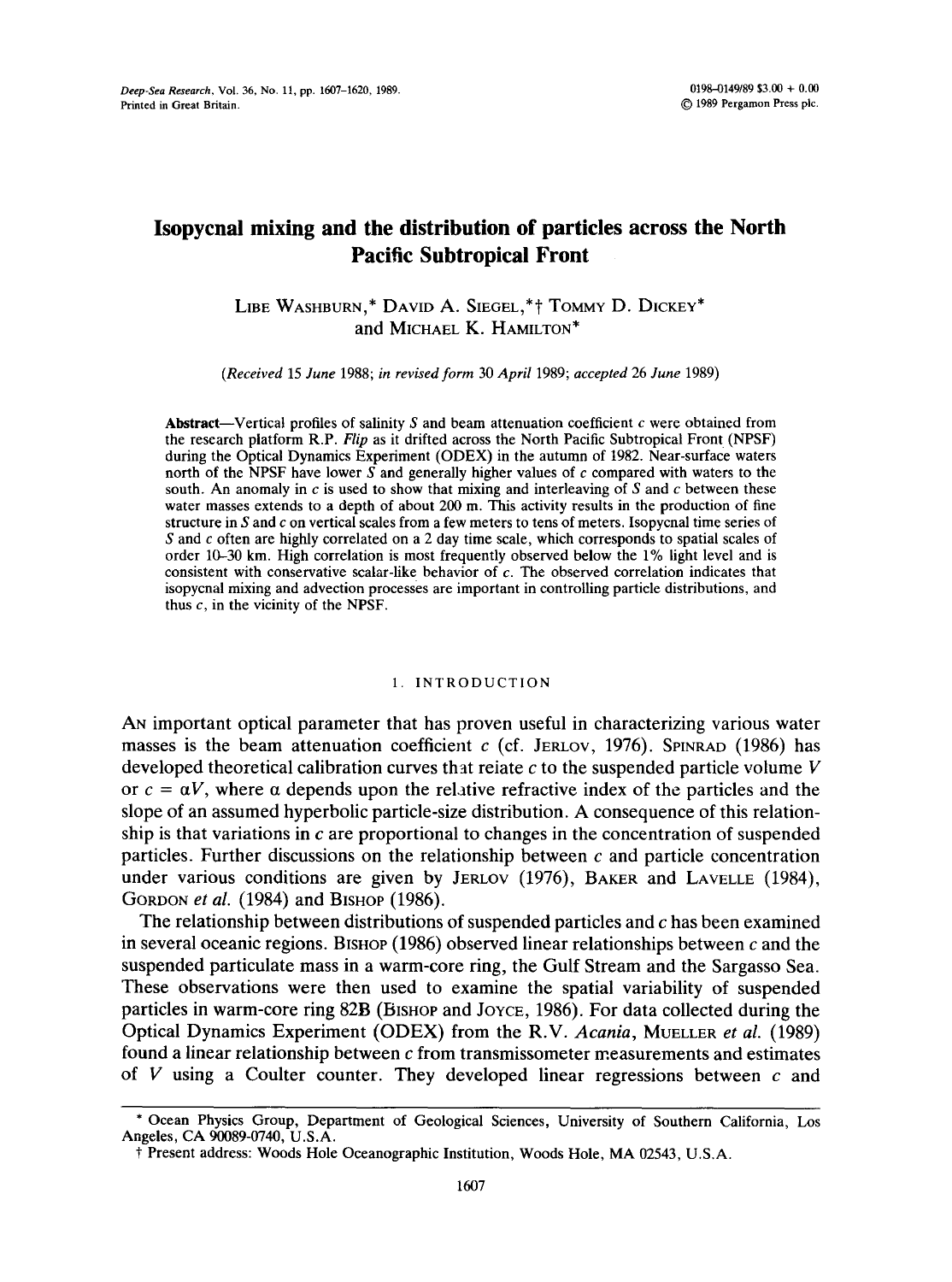# **Isopycnal mixing and the distribution of particles across the North Pacific Subtropical Front**

LIBE WASHBURN,\* DAVID A. SIEGEL,\*† TOMMY D. DICKEY\* and MICHAEL K. HAMILTON\*

*(Received* 15 *June* 1988; *in revised form* 30 *April* 1989; *accepted* 26 *June* 1989)

Abstract-Vertical profiles of salinity  $S$  and beam attenuation coefficient  $c$  were obtained from the research platform R.P. *Flip* as it drifted across the North Pacific Subtropical Front (NPSF) during the Optical Dynamics Experiment (ODEX) in the autumn of 1982. Near-surface waters north of the NPSF have lower S and generally higher values of c compared with waters to the south. An anomaly in  $c$  is used to show that mixing and interleaving of  $S$  and  $c$  between these water masses extends to a depth of about 200 m. This activity results in the production of fine structure in  $S$  and  $c$  on vertical scales from a few meters to tens of meters. Isopycnal time series of S and c often are highly correlated on a 2 day time scale, which corresponds to spatial scales of order 10-30 km. High correlation is most frequently observed below the 1% light level and is consistent with conservative scalar-like behavior of  $c$ . The observed correlation indicates that isopycnal mixing and advection processes are important in controlling particle distributions, and thus  $c$ , in the vicinity of the NPSF.

### 1. INTRODUCTION

AN important optical parameter that has proven useful in characterizing various water masses is the beam attenuation coefficient c (cf. JERLOV, 1976). SPINRAD (1986) has developed theoretical calibration curves that relate  $c$  to the suspended particle volume  $V$ or  $c = \alpha V$ , where  $\alpha$  depends upon the relative refractive index of the particles and the slope of an assumed hyperbolic particle-size distribution. A consequence of this relationship is that variations in  $c$  are proportional to changes in the concentration of suspended particles. Further discussions on the relationship between  $c$  and particle concentration under various conditions are given by JERLOV (1976), BAKER and LAVELLE (1984), GORDON *et al.* (1984) and BISHOP (1986).

The relationship between distributions of suspended particles and c has been examined in several oceanic regions. BISHOP (1986) observed linear relationships between  $c$  and the suspended particulate mass in a warm-core ring, the Gulf Stream and the Sargasso Sea. These observations were then used to examine the spatial variability of suspended particles in warm-core ring 82B (Bishop and Joyce, 1986). For data collected during the Optical Dynamics Experiment (ODEX) from the R.V. *Acania,* MUELLER *et al.* (1989) found a linear relationship between  $c$  from transmissometer measurements and estimates of  $V$  using a Coulter counter. They developed linear regressions between  $c$  and

<sup>\*</sup> Ocean Physics Group, Department of Geological Sciences, University of Southern California, Los Angeles, CA 90089-0740, U.S.A.

<sup>\$</sup> Present address: Woods Hole Oceanographic Institution, Woods Hole, MA 02543, U.S.A.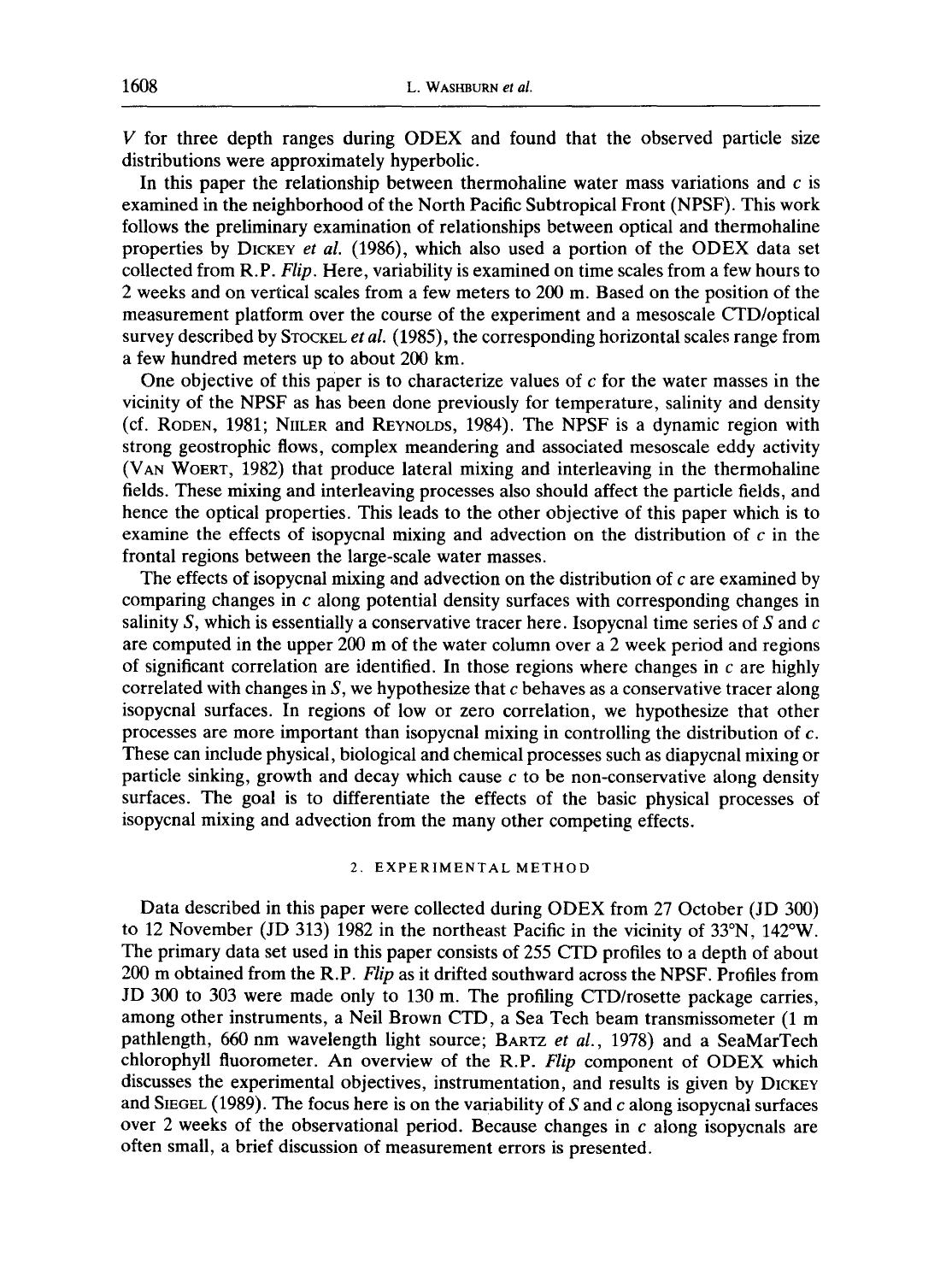V for three depth ranges during ODEX and found that the observed particle size distributions were approximately hyperbolic.

In this paper the relationship between thermohaline water mass variations and  $c$  is examined in the neighborhood of the North Pacific Subtropical Front (NPSF). This work follows the preliminary examination of relationships between optical and thermohaline properties by DICKEY *et al.* (1986), which also used a portion of the ODEX data set collected from R.P. *Flip.* Here, variability is examined on time scales from a few hours to 2 weeks and on vertical scales from a few meters to 200 m. Based on the position of the measurement platform over the course of the experiment and a mesoscale CTD/optical survey described by STOCKEL *et al.* (1985), the corresponding horizontal scales range from a few hundred meters up to about 200 km.

One objective of this paper is to characterize values of  $c$  for the water masses in the vicinity of the NPSF as has been done previously for temperature, salinity and density (cf. RODEN, 1981; NIILER and REYNOLDS, 1984). The NPSF is a dynamic region with strong geostrophic flows, complex meandering and associated mesoscale eddy activity (VAN WOERT, 1982) that produce lateral mixing and interleaving in the thermohaline fields. These mixing and interleaving processes also should affect the particle fields, and hence the optical properties. This leads to the other objective of this paper which is to examine the effects of isopycnal mixing and advection on the distribution of  $c$  in the frontal regions between the large-scale water masses.

The effects of isopycnal mixing and advection on the distribution of c are examined by comparing changes in c along potential density surfaces with corresponding changes in salinity S, which is essentially a conservative tracer here. Isopycnal time series of S and  $c$ are computed in the upper 200 m of the water column over a 2 week period and regions of significant correlation are identified. In those regions where changes in  $c$  are highly correlated with changes in  $S$ , we hypothesize that  $c$  behaves as a conservative tracer along isopycnal surfaces. In regions of low or zero correlation, we hypothesize that other processes are more important than isopycnal mixing in controlling the distribution of c. These can include physical, biological and chemical processes such as diapycnal mixing or particle sinking, growth and decay which cause  $c$  to be non-conservative along density surfaces. The goal is to differentiate the effects of the basic physical processes of isopycnal mixing and advection from the many other competing effects.

## 2. EXPERIMENTAL METHOD

Data described in this paper were collected during ODEX from 27 October (JD 300) to 12 November (JD 313) 1982 in the northeast Pacific in the vicinity of 33°N, 142°W. The primary data set used in this paper consists of 255 CTD profiles to a depth of about 200 m obtained from the R.P. *Flip* as it drifted southward across the NPSF. Profiles from JD 300 to 303 were made only to 130 m. The profiling CTD/rosette package carries, among other instruments, a Neil Brown CTD, a Sea Tech beam transmissometer (1 m pathlength, 660 nm wavelength light source; BARTZ *et al.,* 1978) and a SeaMarTech chlorophyll fluorometer. An overview of the R.P. *Flip* component of ODEX which discusses the experimental objectives, instrumentation, and results is given by DICKEY and SIEGEL (1989). The focus here is on the variability of  $S$  and  $c$  along isopycnal surfaces over 2 weeks of the observational period. Because changes in  $c$  along isopycnals are often small, a brief discussion of measurement errors is presented.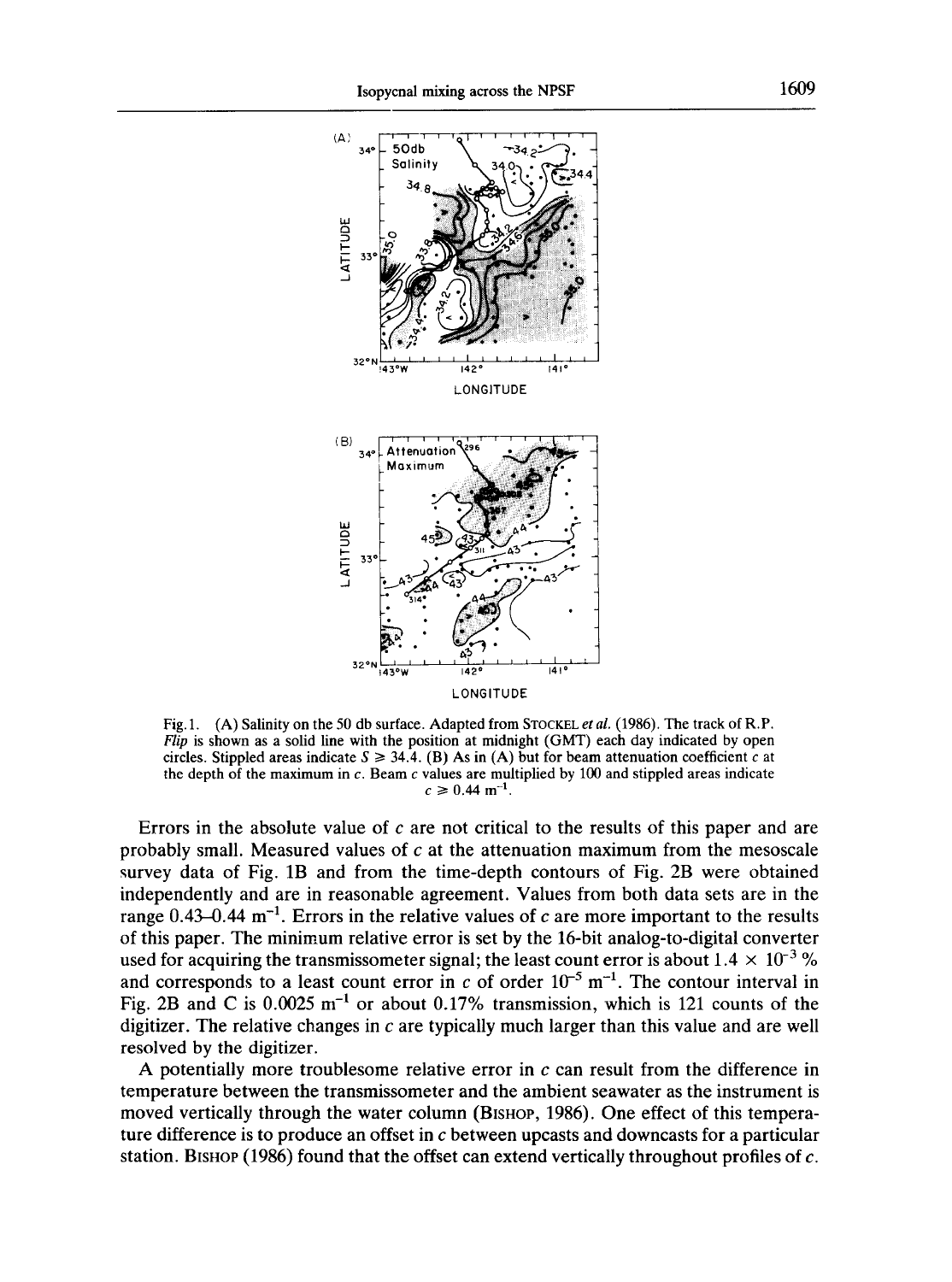

**Fig. 1. (A) Salinity on the 50 db surface. Adapted from STOCKEL** *et al.* **(1986). The track of R.P.**  *Flip* **is shown as a solid line with the position at midnight (GMT) each day indicated by open**  circles. Stippled areas indicate  $S \ge 34.4$ . (B) As in (A) but for beam attenuation coefficient c at **the depth of the maximum in c. Beam c values are multiplied by 100 and stippled areas indicate**   $c \ge 0.44$  m<sup>-1</sup>.

**Errors in the absolute value of c are not critical to the results of this paper and are probably small. Measured values of c at the attenuation maximum from the mesoscale survey data of Fig. 1B and from the time-depth contours of Fig. 2B were obtained independently and are in reasonable agreement. Values from both data sets are in the**  range  $0.43-0.44$  m<sup>-1</sup>. Errors in the relative values of c are more important to the results **of this paper. The minimum relative error is set by the 16-bit analog-to-digital converter**  used for acquiring the transmissometer signal; the least count error is about  $1.4 \times 10^{-3}$  % and corresponds to a least count error in  $c$  of order  $10^{-5}$  m<sup>-1</sup>. The contour interval in Fig. 2B and C is  $0.0025 \text{ m}^{-1}$  or about 0.17% transmission, which is 121 counts of the digitizer. The relative changes in  $c$  are typically much larger than this value and are well **resolved by the digitizer.** 

**A potentially more troublesome relative error in c can result from the difference in temperature between the transmissometer and the ambient seawater as the instrument is**  moved vertically through the water column (BISHOP, 1986). One effect of this tempera**ture difference is to produce an offset in c between upcasts and downcasts for a particular station. BISHOP (1986) found that the offset can extend vertically throughout profiles of c.**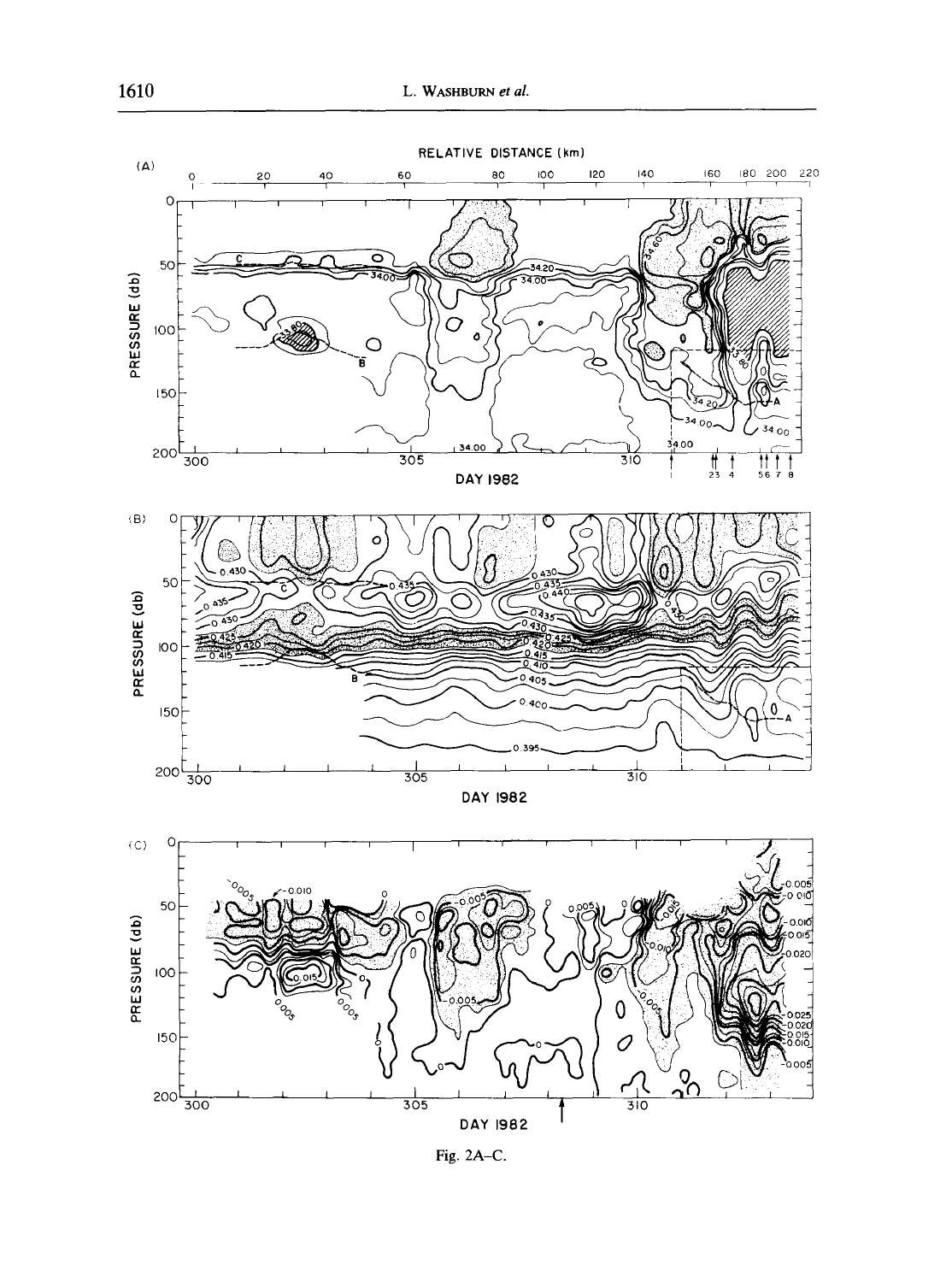

Fig. 2A-C.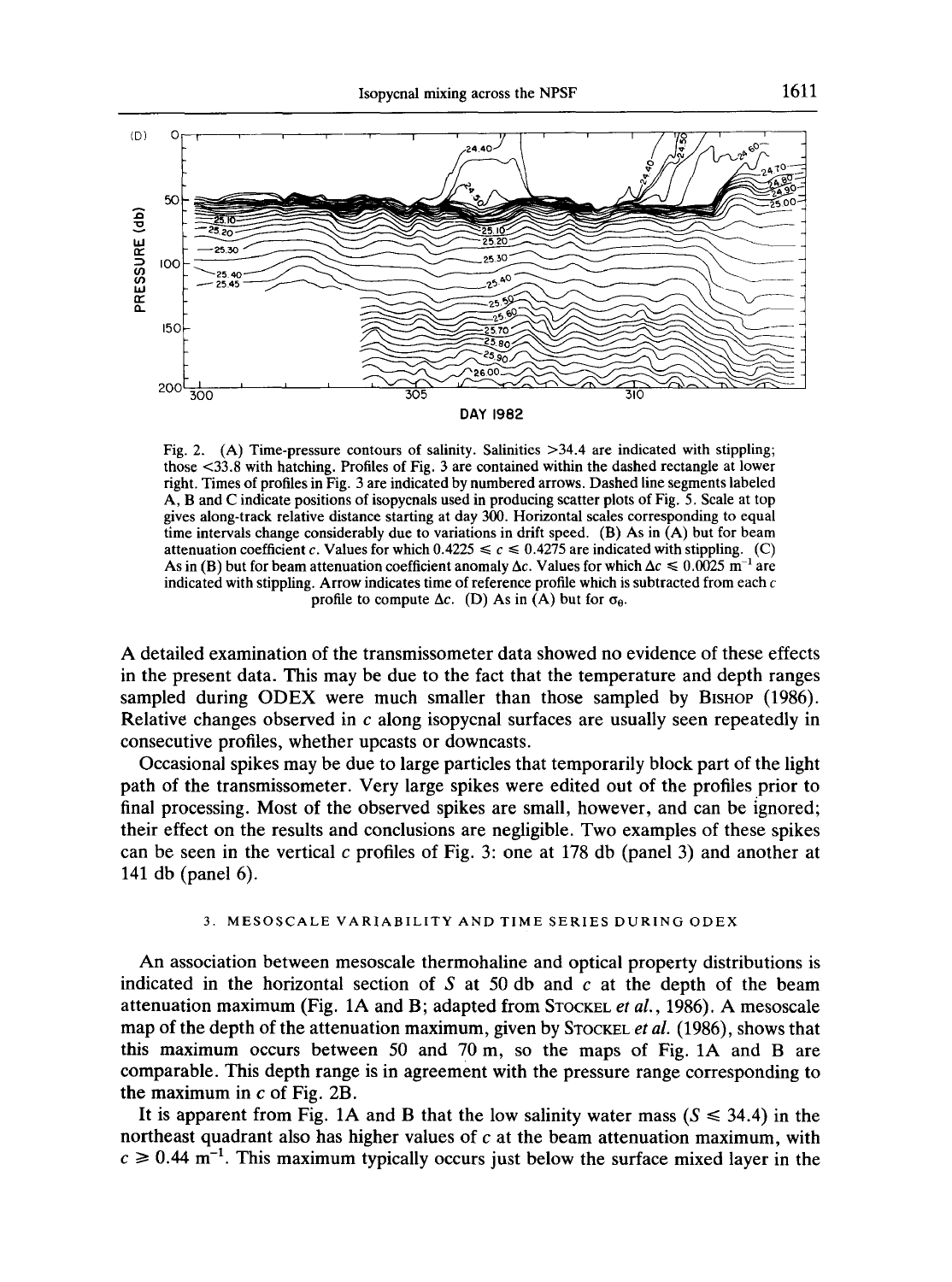

Fig. 2. (A) Time-pressure contours of salinity. Salinities >34.4 are indicated with stippling; those <33.8 with hatching. Profiles of Fig. 3 are contained within the dashed rectangle at lower right. Times of profiles in Fig. 3 are indicated by numbered arrows. Dashed line segments labeled A, B and C indicate positions of isopycnals used in producing scatter plots of Fig. 5. Scale at top gives along-track relative distance starting at day 300. Horizontal scales corresponding to equal time intervals change considerably due to variations in drift speed. (B) As in (A) but for beam attenuation coefficient c. Values for which  $0.4225 \le c \le 0.4275$  are indicated with stippling. (C) As in (B) but for beam attenuation coefficient anomaly  $\Delta c$ . Values for which  $\Delta c \le 0.0025$  m<sup>-1</sup> are indicated with stippling. Arrow indicates time of reference profile which is subtracted from each  $c$ profile to compute  $\Delta c$ . (D) As in (A) but for  $\sigma_{\theta}$ .

A detailed examination of the transmissometer data showed no evidence of these effects in the present data. This may be due to the fact that the temperature and depth ranges sampled during ODEX were much smaller than those sampled by BISHOP (1986). Relative changes observed in  $c$  along isopycnal surfaces are usually seen repeatedly in consecutive profiles, whether upcasts or downcasts.

Occasional spikes may be due to large particles that temporarily block part of the light path of the transmissometer. Very large spikes were edited out of the profiles prior to final processing. Most of the observed spikes are small, however, and can be ignored; their effect on the results and conclusions are negligible. Two examples of these spikes can be seen in the vertical c profiles of Fig. 3: one at 178 db (panel 3) and another at 141 db (panel 6).

# 3. MESOSCALE VARIABILITY AND TIME SERIES DURING ODEX

An association between mesoscale thermohaline and optical property distributions is indicated in the horizontal section of S at 50 db and  $c$  at the depth of the beam attenuation maximum (Fig. 1A and B; adapted from STOCKEL *et al.,* 1986). A mesoscale map of the depth of the attenuation maximum, given by STOCKEL *et al.* (1986), shows that this maximum occurs between 50 and 70 m, so the maps of Fig. 1A and B are comparable. This depth range is in agreement with the pressure range corresponding to the maximum in c of Fig. 2B.

It is apparent from Fig. 1A and B that the low salinity water mass ( $S \le 34.4$ ) in the northeast quadrant also has higher values of  $c$  at the beam attenuation maximum, with  $c \ge 0.44$  m<sup>-1</sup>. This maximum typically occurs just below the surface mixed layer in the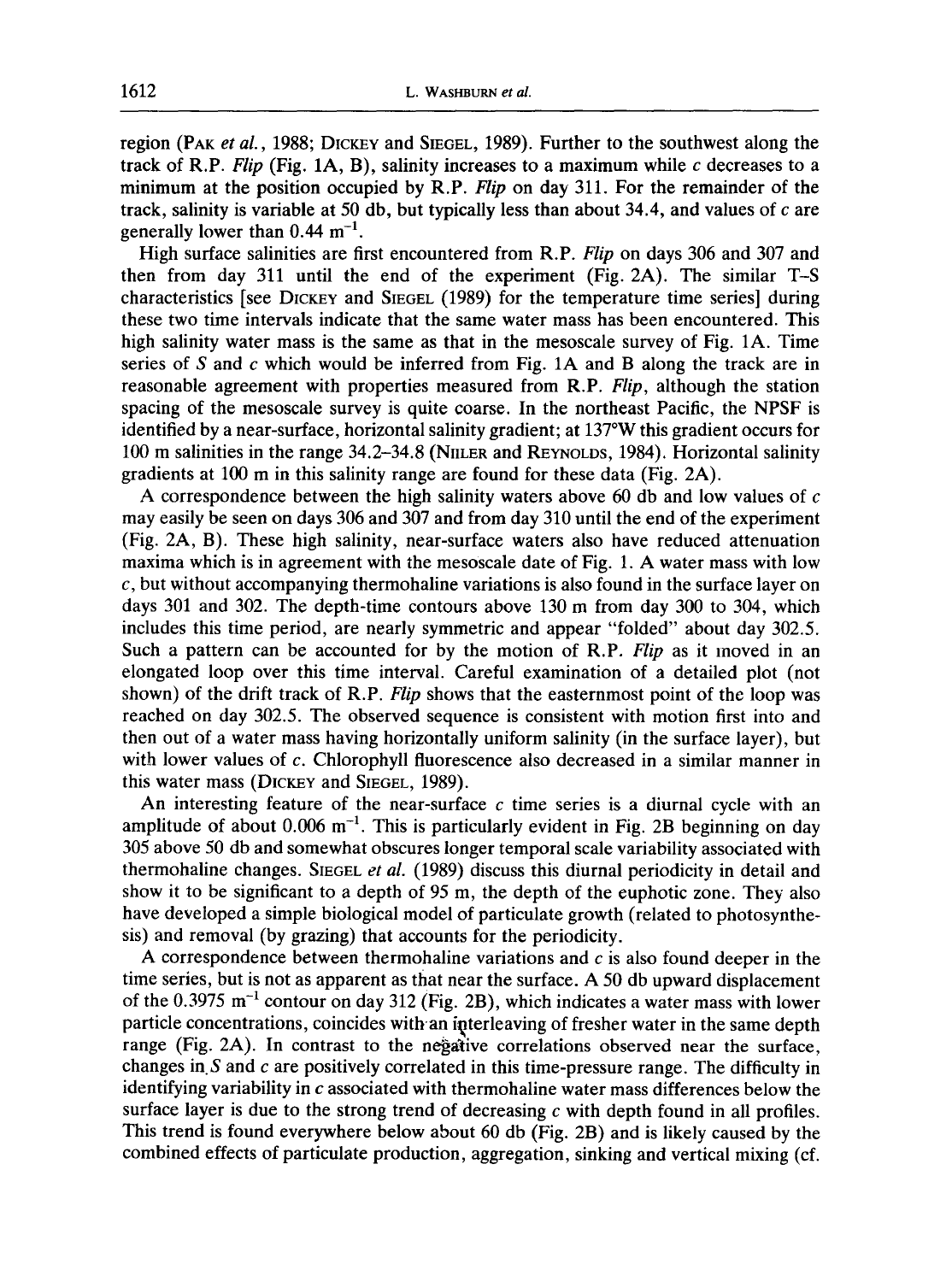region (PAK *et al.*, 1988; DICKEY and SIEGEL, 1989). Further to the southwest along the track of R.P. *Flip* (Fig. 1A, B), salinity increases to a maximum while  $c$  decreases to a minimum at the position occupied by R.P. *Flip* on day 311. For the remainder of the track, salinity is variable at 50 db, but typically less than about 34.4, and values of  $c$  are generally lower than  $0.44 \text{ m}^{-1}$ .

High surface salinities are first encountered from R.P. *Flip* on days 306 and 307 and then from day 311 until the end of the experiment (Fig. 2A). The similar T-S characteristics [see DICKEY and SIEGEL (1989) for the temperature time series] during these two time intervals indicate that the same water mass has been encountered. This high salinity water mass is the same as that in the mesoscale survey of Fig. 1A. Time series of  $S$  and  $c$  which would be inferred from Fig. 1A and  $B$  along the track are in reasonable agreement with properties measured from R.P. *Flip,* although the station spacing of the mesoscale survey is quite coarse. In the northeast Pacific, the NPSF is identified by a near-surface, horizontal salinity gradient; at 137°W this gradient occurs for 100 m salinities in the range 34.2-34.8 (NnLER and REYNOLDS, 1984). Horizontal salinity gradients at 100 m in this salinity range are found for these data (Fig. 2A).

A correspondence between the high salinity waters above 60 db and low values of  $c$ may easily be seen on days 306 and 307 and from day 310 until the end of the experiment (Fig. 2A, B). These high salinity, near-surface waters also have reduced attenuation maxima which is in agreement with the mesoscale date of Fig. 1. A water mass with low  $c$ , but without accompanying thermohaline variations is also found in the surface layer on days 301 and 302. The depth-time contours above 130 m from day 300 to 304, which includes this time period, are nearly symmetric and appear "folded" about day 302.5. Such a pattern can be accounted for by the motion of R.P. *Flip* as it moved in an elongated loop over this time interval. Careful examination of a detailed plot (not shown) of the drift track of R.P. *Flip* shows that the easternmost point of the loop was reached on day 302.5. The observed sequence is consistent with motion first into and then out of a water mass having horizontally uniform salinity (in the surface layer), but with lower values of c. Chlorophyll fluorescence also decreased in a similar manner in this water mass (DICKEY and SIEGEL, 1989).

An interesting feature of the near-surface  $c$  time series is a diurnal cycle with an amplitude of about  $0.006 \text{ m}^{-1}$ . This is particularly evident in Fig. 2B beginning on day 305 above 50 db and somewhat obscures longer temporal scale variability associated with thermohaline changes. SIEGEL *et al.* (1989) discuss this diurnal periodicity in detail and show it to be significant to a depth of 95 m, the depth of the euphotic zone. They also have developed a simple biological model of particulate growth (related to photosynthesis) and removal (by grazing) that accounts for the periodicity.

A correspondence between thermohaline variations and  $c$  is also found deeper in the time series, but is not as apparent as that near the surface. A 50 db upward displacement of the 0.3975  $m^{-1}$  contour on day 312 (Fig. 2B), which indicates a water mass with lower particle concentrations, coincides with an interleaving of fresher water in the same depth range (Fig. 2A). In contrast to the negative correlations observed near the surface, changes in  $S$  and  $c$  are positively correlated in this time-pressure range. The difficulty in identifying variability in  $c$  associated with thermohaline water mass differences below the surface layer is due to the strong trend of decreasing c with depth found in all profiles. This trend is found everywhere below about 60 db (Fig. 2B) and is likely caused by the combined effects of particulate production, aggregation, sinking and vertical mixing (cf.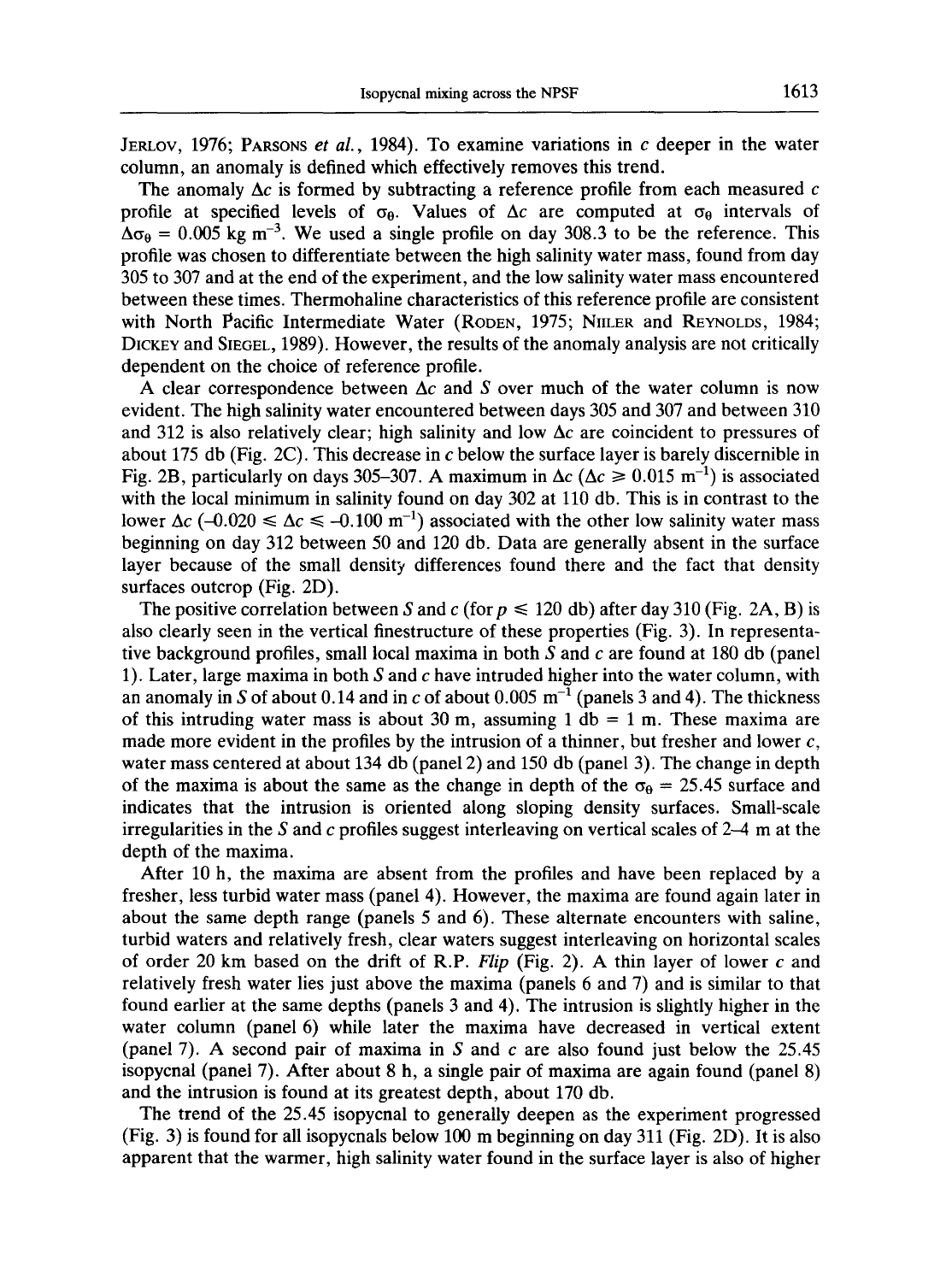JERLOV, 1976; PARSONS *et al.,* 1984). To examine variations in c deeper in the water column, an anomaly is defined which effectively removes this trend.

The anomaly  $\Delta c$  is formed by subtracting a reference profile from each measured c profile at specified levels of  $\sigma_{\theta}$ . Values of  $\Delta c$  are computed at  $\sigma_{\theta}$  intervals of  $\Delta\sigma_{\theta} = 0.005$  kg m<sup>-3</sup>. We used a single profile on day 308.3 to be the reference. This profile was chosen to differentiate between the high salinity water mass, found from day 305 to 307 and at the end of the experiment, and the low salinity water mass encountered between these times. Thermohaline characteristics of this reference profile are consistent with North Pacific Intermediate Water (RODEN, 1975; NIILER and REYNOLDS, 1984; DICKEY and SIEGEL, 1989). However, the results of the anomaly analysis are not critically dependent on the choice of reference profile.

A clear correspondence between  $\Delta c$  and S over much of the water column is now evident. The high salinity water encountered between days 305 and 307 and between 310 and 312 is also relatively clear; high salinity and low  $\Delta c$  are coincident to pressures of about 175 db (Fig. 2C). This decrease in  $c$  below the surface layer is barely discernible in Fig. 2B, particularly on days 305–307. A maximum in  $\Delta c$  ( $\Delta c \ge 0.015$  m<sup>-1</sup>) is associated with the local minimum in salinity found on day 302 at 110 db. This is in contrast to the lower  $\Delta c$  (-0.020  $\leq \Delta c \leq$  -0.100 m<sup>-1</sup>) associated with the other low salinity water mass beginning on day 312 between 50 and 120 db. Data are generally absent in the surface layer because of the small density differences found there and the fact that density surfaces outcrop (Fig. 2D).

The positive correlation between S and c (for  $p \le 120$  db) after day 310 (Fig. 2A, B) is also clearly seen in the vertical finestructure of these properties (Fig. 3). In representative background profiles, small local maxima in both  $S$  and  $c$  are found at 180 db (panel 1). Later, large maxima in both  $S$  and  $c$  have intruded higher into the water column, with an anomaly in S of about 0.14 and in c of about 0.005  $m^{-1}$  (panels 3 and 4). The thickness of this intruding water mass is about 30 m, assuming 1 db = 1 m. These maxima are made more evident in the profiles by the intrusion of a thinner, but fresher and lower  $c$ , water mass centered at about 134 db (panel 2) and 150 db (panel 3). The change in depth of the maxima is about the same as the change in depth of the  $\sigma_{\theta} = 25.45$  surface and indicates that the intrusion is oriented along sloping density surfaces. Small-scale irregularities in the S and  $c$  profiles suggest interleaving on vertical scales of 2–4 m at the depth of the maxima.

After 10 h, the maxima are absent from the profiles and have been replaced by a fresher, less turbid water mass (panel 4). However, the maxima are found again later in about the same depth range (panels 5 and 6). These alternate encounters with saline, turbid waters and relatively fresh, clear waters suggest interleaving on horizontal scales of order 20 km based on the drift of R.P. *Flip* (Fig. 2). A thin layer of lower c and relatively fresh water lies just above the maxima (panels 6 and 7) and is similar to that found earlier at the same depths (panels 3 and 4). The intrusion is slightly higher in the water column (panel 6) while later the maxima have decreased in vertical extent (panel 7). A second pair of maxima in S and c are also found just below the  $25.45$ isopycnal (panel 7). After about 8 h, a single pair of maxima are again found (panel 8) and the intrusion is found at its greatest depth, about 170 db.

The trend of the 25.45 isopycnal to generally deepen as the experiment progressed (Fig. 3) is found for all isopycnals below 100 m beginning on day 311 (Fig. 2D). It is also apparent that the warmer, high salinity water found in the surface layer is also of higher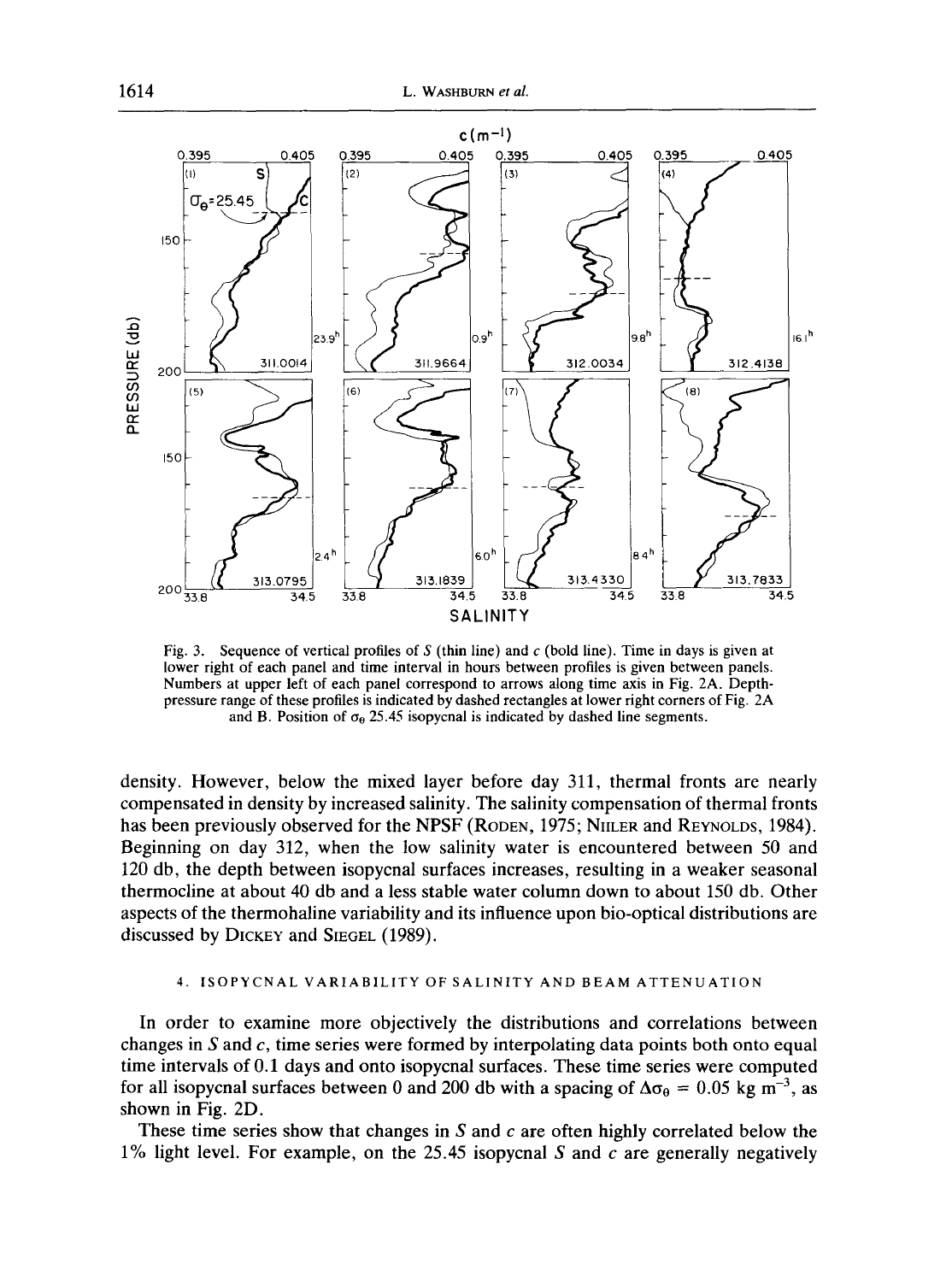

Fig. 3. **Sequence of vertical profiles of S (thin line) and c (bold line). Time in days is given at lower right of each panel and time interval in hours between profiles is given between panels. Numbers at upper left of each panel correspond to arrows along time axis in** Fig. 2A. **Depthpressure range of these profiles is indicated by dashed rectangles at lower right corners of** Fig. 2A and B. Position of  $\sigma_0$  25.45 isopycnal is indicated by dashed line segments.

**density. However, below the mixed layer before day 311, thermal fronts are nearly compensated in density by increased salinity. The salinity compensation of thermal fronts**  has been previously observed for the NPSF (RODEN, 1975; NIILER and REYNOLDS, 1984). **Beginning on day 312, when the low salinity water is encountered between 50 and 120 db, the depth between isopycnal surfaces increases, resulting in a weaker seasonal thermocline at about 40 db and a less stable water column down to about 150 db. Other aspects of the thermohaline variability and its influence upon bio-optical distributions are discussed by DICKEY and SIEGEL (1989).** 

# 4. ISOPYCNAL VARIABILITY OF SALINITY AND BEAM ATTENUATION

**In order to examine more objectively the distributions and correlations between changes in S and c, time series were formed by interpolating data points both onto equal time intervals of 0.1 days and onto isopycnal surfaces. These time series were computed**  for all isopycnal surfaces between 0 and 200 db with a spacing of  $\Delta\sigma_{\theta} = 0.05$  kg m<sup>-3</sup>, as **shown in Fig. 2D.** 

**These time series show that changes in S and c are often highly correlated below the 1% light level. For example, on the 25.45 isopycnal S and c are generally negatively**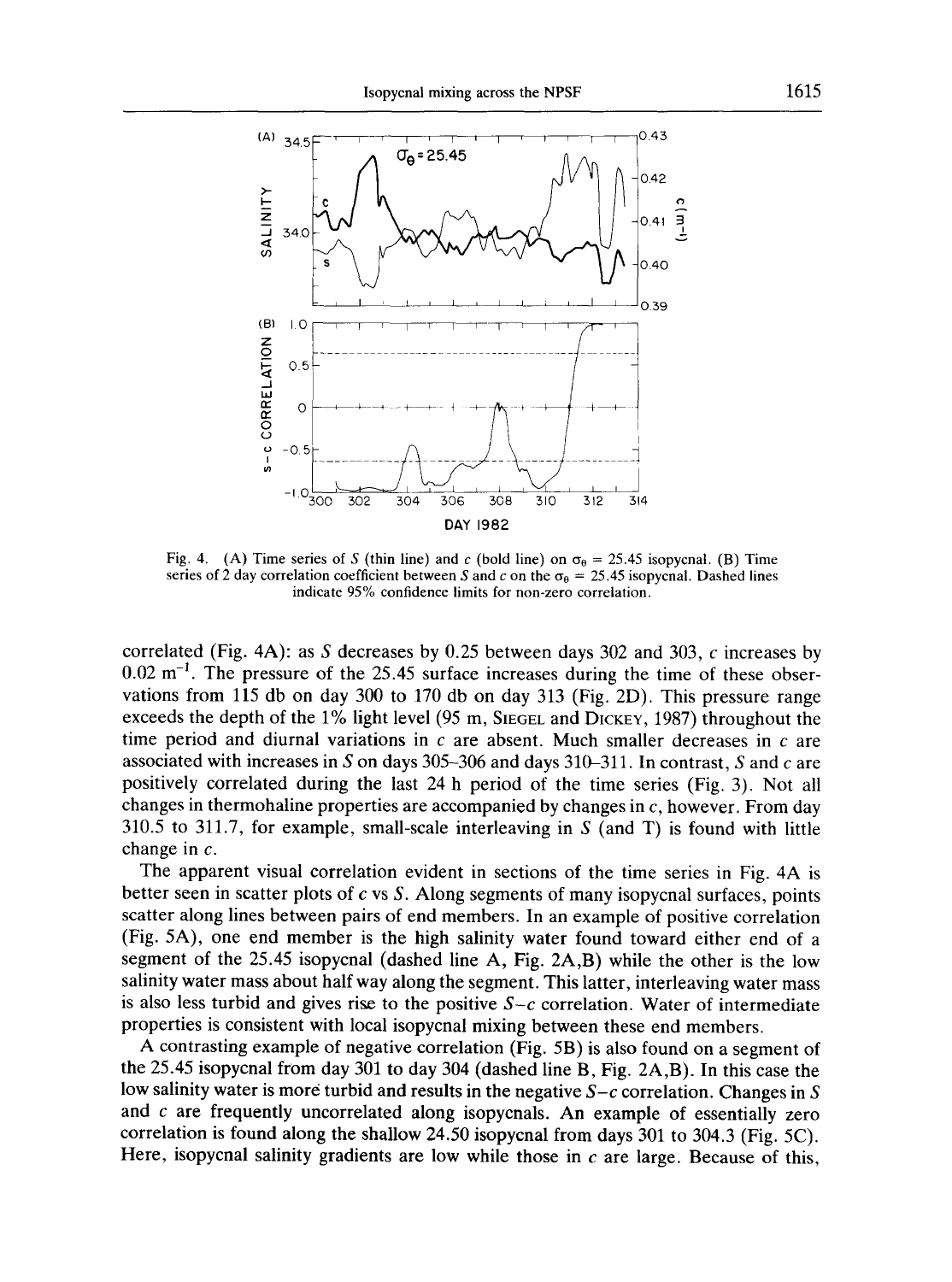

Fig. 4. (A) Time series of S (thin line) and c (bold line) on  $\sigma_{\theta} = 25.45$  isopycnal. (B) Time series of 2 day correlation coefficient between S and c on the  $\sigma_{\theta} = 25.45$  isopycnal. Dashed lines indicate 95% confidence limits for non-zero correlation.

correlated (Fig. 4A): as S decreases by 0.25 between days 302 and 303, c increases by  $0.02 \text{ m}^{-1}$ . The pressure of the 25.45 surface increases during the time of these observations from 115 db on day 300 to 170 db on day 313 (Fig. 2D). This pressure range exceeds the depth of the 1% light level (95 m, SIEGEL and DICKEY, 1987) throughout the time period and diurnal variations in  $c$  are absent. Much smaller decreases in  $c$  are associated with increases in S on days 305-306 and days 310-311. In contrast, S and c are positively correlated during the last 24 h period of the time series (Fig. 3). Not all changes in thermohaline properties are accompanied by changes in c, however. From day  $310.5$  to  $311.7$ , for example, small-scale interleaving in S (and T) is found with little change in c.

The apparent visual correlation evident in sections of the time series in Fig. 4A is better seen in scatter plots of  $c$  vs  $S$ . Along segments of many isopycnal surfaces, points scatter along lines between pairs of end members. In an example of positive correlation (Fig. 5A), one end member is the high salinity water found toward either end of a segment of the 25.45 isopycnal (dashed line A, Fig. 2A,B) while the other is the low salinity water mass about half way along the segment. This latter, interleaving water mass is also less turbid and gives rise to the positive  $S-c$  correlation. Water of intermediate properties is consistent with local isopycnal mixing between these end members.

A contrasting example of negative correlation (Fig. 5B) is also found on a segment of the 25.45 isopycnal from day 301 to day 304 (dashed line B, Fig. 2A,B). In this case the low salinity water is more turbid and results in the negative *S-c* correlation. Changes in S and  $c$  are frequently uncorrelated along isopycnals. An example of essentially zero correlation is found along the shallow 24.50 isopycnal from days 301 to 304.3 (Fig. 5C). Here, isopycnal salinity gradients are low while those in  $c$  are large. Because of this,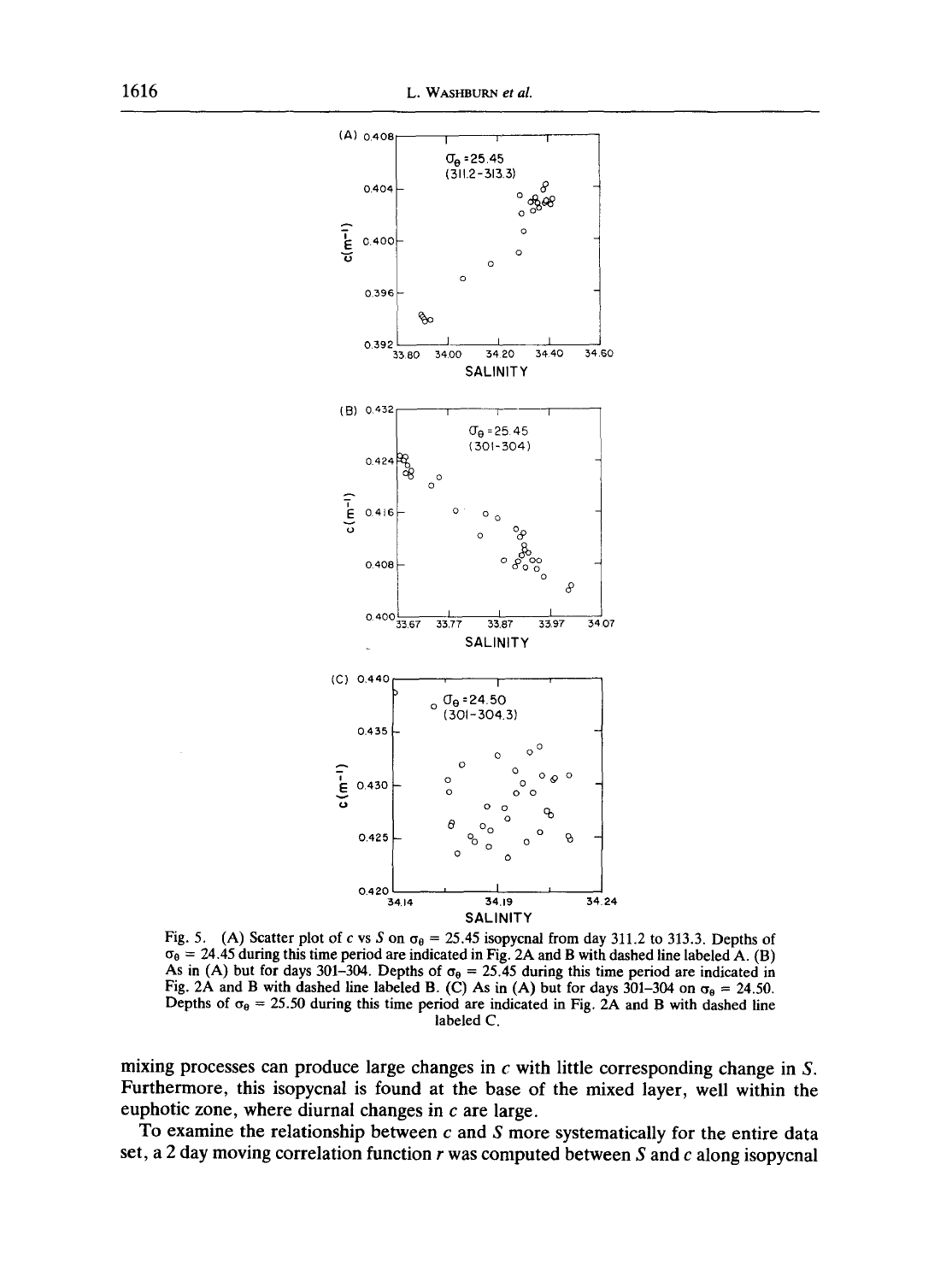

Fig. 5. (A) Scatter plot of c vs S on  $\sigma_{\theta} = 25.45$  isopycnal from day 311.2 to 313.3. Depths of  $\sigma_{\theta} = 24.45$  during this time period are indicated in Fig. 2A and B with dashed line labeled A. (B) As in (A) but for days 301-304. Depths of  $\sigma_{\theta} = 25.45$  during this time period are indicated in Fig. 2A and B with dashed line labeled B. (C) As in (A) but for days 301-304 on  $\sigma_{\theta} = 24.50$ . Depths of  $\sigma_{\theta} = 25.50$  during this time period are indicated in Fig. 2A and B with dashed line **labeled C.** 

mixing processes can produce large changes in c with little corresponding change in S. **Furthermore, this isopycnal is found at the base of the mixed layer, well within the euphotic zone, where diurnal changes in c are large.** 

**To examine the relationship between c and S more systematically for the entire data set, a 2 day moving correlation function r was computed between S and c along isopycnal**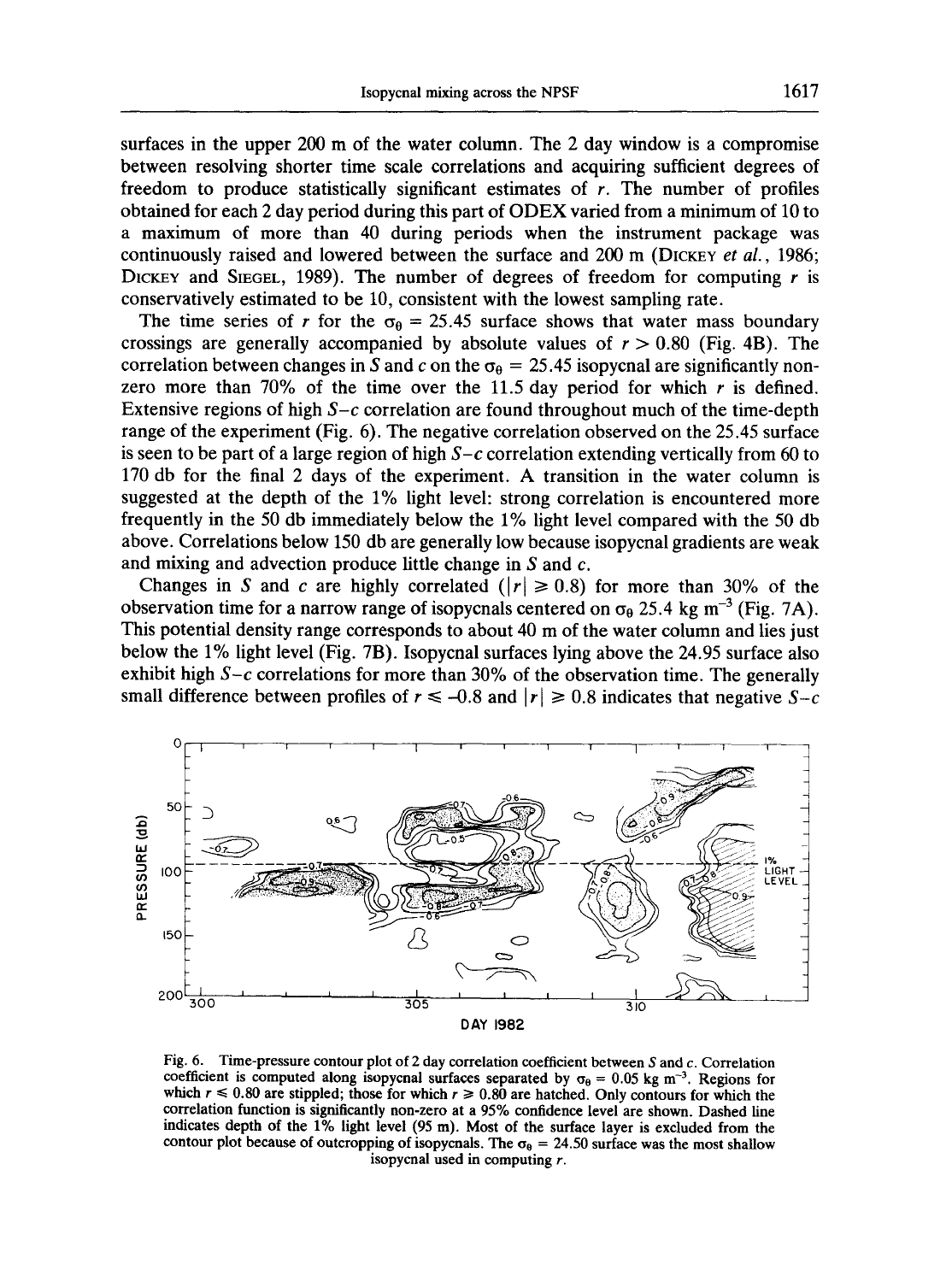surfaces in the upper 200 m of the water column. The 2 day window is a compromise between resolving shorter time scale correlations and acquiring sufficient degrees of freedom to produce statistically significant estimates of  $r$ . The number of profiles obtained for each 2 day period during this part of ODEX varied from a minimum of 10 to a maximum of more than 40 during periods when the instrument package was continuously raised and lowered between the surface and 200 m (DICKEY *et al.,* 1986; DICKEY and SIEGEL, 1989). The number of degrees of freedom for computing  $r$  is conservatively estimated to be 10, consistent with the lowest sampling rate.

The time series of r for the  $\sigma_{\theta} = 25.45$  surface shows that water mass boundary crossings are generally accompanied by absolute values of  $r > 0.80$  (Fig. 4B). The correlation between changes in S and c on the  $\sigma_{\theta} = 25.45$  isopycnal are significantly nonzero more than 70% of the time over the 11.5 day period for which  $r$  is defined. Extensive regions of high *S-c* correlation are found throughout much of the time-depth range of the experiment (Fig. 6). The negative correlation observed on the 25.45 surface is seen to be part of a large region of high *S-c* correlation extending vertically from 60 to 170 db for the final 2 days of the experiment. A transition in the water column is suggested at the depth of the 1% light level: strong correlation is encountered more frequently in the 50 db immediately below the 1% light level compared with the 50 db above. Correlations below 150 db are generally low because isopycnal gradients are weak and mixing and advection produce little change in  $S$  and  $c$ .

Changes in S and c are highly correlated  $(|r| \ge 0.8)$  for more than 30% of the observation time for a narrow range of isopycnals centered on  $\sigma_{\theta}$  25.4 kg m<sup>-3</sup> (Fig. 7A). This potential density range corresponds to about 40 m of the water column and lies just below the 1% light level (Fig. 7B). Isopycnal surfaces lying above the 24.95 surface also exhibit high  $S-c$  correlations for more than 30% of the observation time. The generally small difference between profiles of  $r \le -0.8$  and  $|r| \ge 0.8$  indicates that negative  $S-c$ 



Fig. 6. Time-pressure contour plot of 2 day correlation coefficient between S and  $c$ . Correlation coefficient is computed along isopycnal surfaces separated by  $\sigma_{0} = 0.05$  kg m<sup>-3</sup>. Regions for which  $r \le 0.80$  are stippled; those for which  $r \ge 0.80$  are hatched. Only contours for which the correlation function is **significantly non-zero** at a 95% confidence level are shown. Dashed line indicates depth **of the** 1% light level (95 m). Most of the surface layer is excluded from the contour plot because of outcropping of isopycnals. The  $\sigma_{\theta} = 24.50$  surface was the most shallow isopycnal used in computing  $r$ .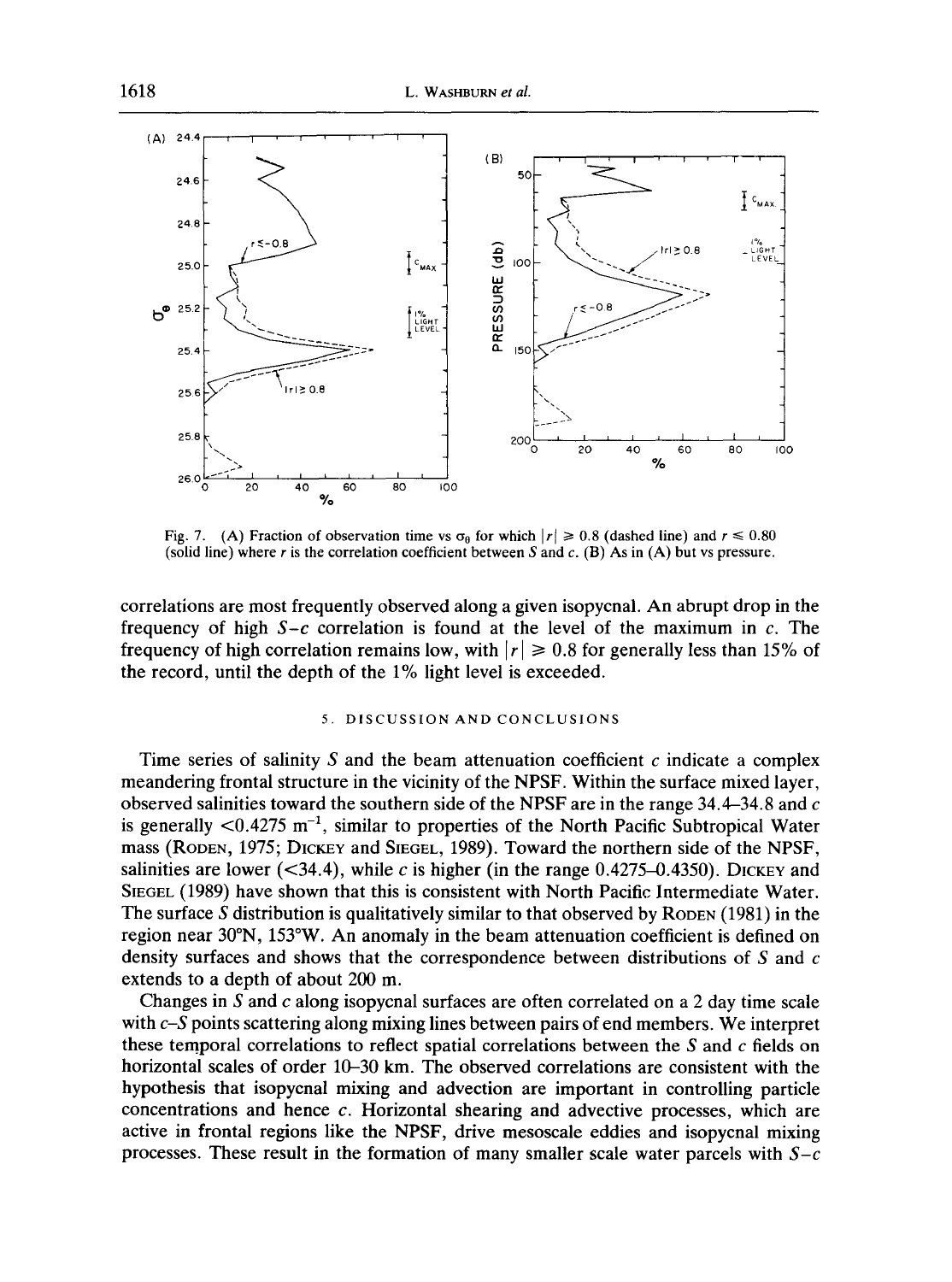

Fig. 7. (A) Fraction of observation time vs  $\sigma_{\theta}$  for which  $|r| \ge 0.8$  (dashed line) and  $r \le 0.80$ (solid line) where r is the correlation coefficient between S and c.  $(B)$  As in  $(A)$  but vs pressure.

correlations are most frequently observed along a given isopycnal. An abrupt drop in the frequency of high  $S-c$  correlation is found at the level of the maximum in  $c$ . The frequency of high correlation remains low, with  $|r| \ge 0.8$  for generally less than 15% of the record, until the depth of the 1% light level is exceeded.

#### 5. DISCUSSION AND CONCLUSIONS

Time series of salinity S and the beam attenuation coefficient  $c$  indicate a complex meandering frontal structure in the vicinity of the NPSF. Within the surface mixed layer, observed salinities toward the southern side of the NPSF are in the range  $34.4-34.8$  and c is generally  $\leq 0.4275$  m<sup>-1</sup>, similar to properties of the North Pacific Subtropical Water mass (RODEN, 1975; DICKEY and SIEGEL, 1989). Toward the northern side of the NPSF, salinities are lower  $( $34.4$ ), while c is higher (in the range 0.4275–0.4350). DICKey and$ SIEGEL (1989) have shown that this is consistent with North Pacific Intermediate Water. The surface S distribution is qualitatively similar to that observed by RODEN  $(1981)$  in the region near 30°N, 153°W. An anomaly in the beam attenuation coefficient is defined on density surfaces and shows that the correspondence between distributions of S and c extends to a depth of about 200 m.

Changes in S and c along isopycnal surfaces are often correlated on a 2 day time scale with *c-S* points scattering along mixing lines between pairs of end members. We interpret these temporal correlations to reflect spatial correlations between the  $S$  and  $c$  fields on horizontal scales of order  $10-30$  km. The observed correlations are consistent with the hypothesis that isopycnal mixing and advection are important in controlling particle concentrations and hence c. Horizontal shearing and advective processes, which are active in frontal regions like the NPSF, drive mesoscale eddies and isopycnal mixing processes. These result in the formation of many smaller scale water parcels with  $S-c$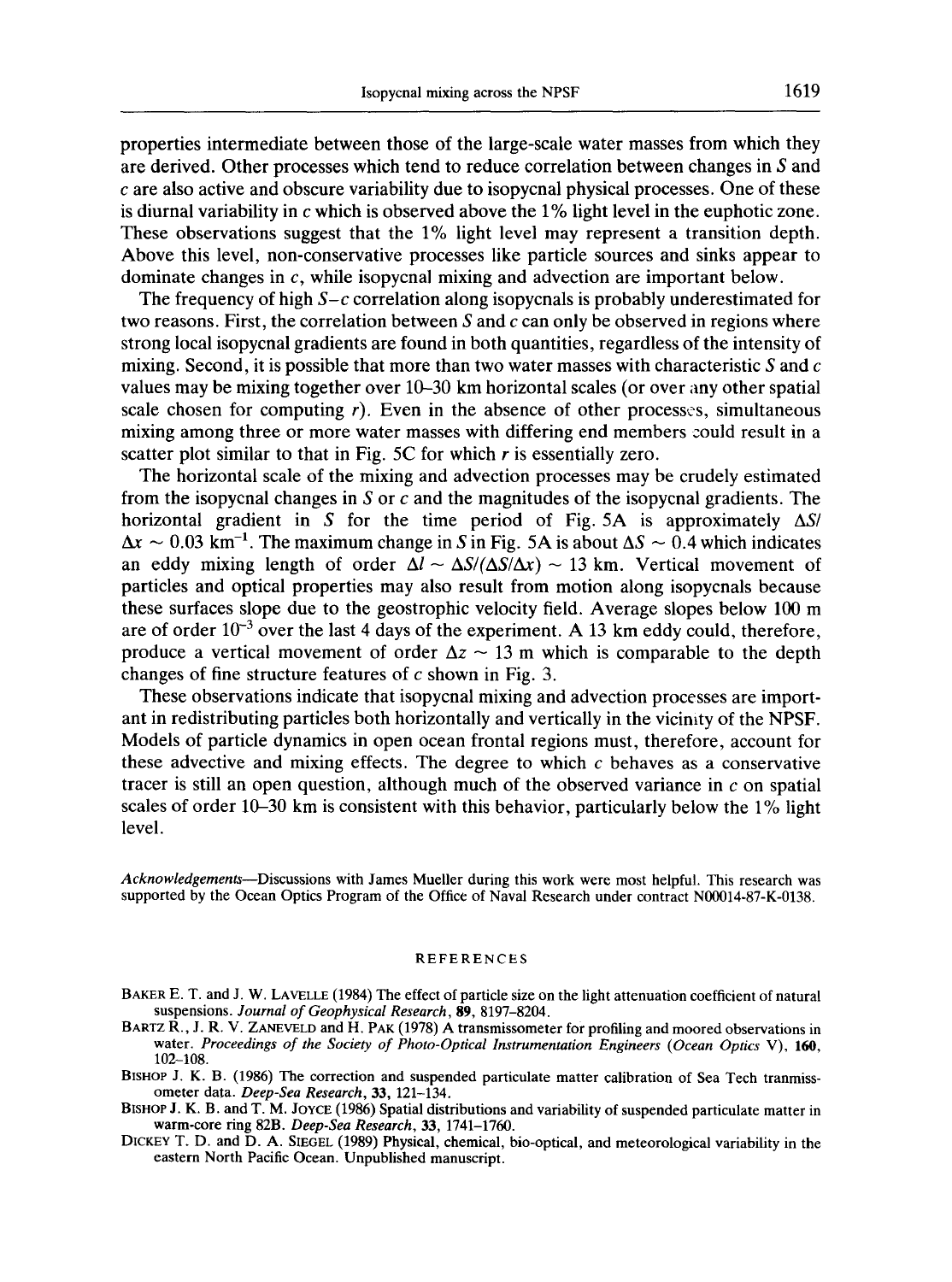properties intermediate between those of the large-scale water masses from which they are derived. Other processes which tend to reduce correlation between changes in  $S$  and c are also active and obscure variability due to isopycnal physical processes. One of these is diurnal variability in c which is observed above the 1% light level in the euphotic zone. These observations suggest that the 1% light level may represent a transition depth. Above this level, non-conservative processes like particle sources and sinks appear to dominate changes in c, while isopycnal mixing and advection are important below.

The frequency of high *S-c* correlation along isopycnals is probably underestimated for two reasons. First, the correlation between S and c can only be observed in regions where strong local isopycnal gradients are found in both quantities, regardless of the intensity of mixing. Second, it is possible that more than two water masses with characteristic S and  $c$ values may be mixing together over 10-30 km horizontal scales (or over any other spatial scale chosen for computing  $r$ ). Even in the absence of other processes, simultaneous mixing among three or more water masses with differing end members could result in a scatter plot similar to that in Fig. 5C for which  $r$  is essentially zero.

The horizontal scale of the mixing and advection processes may be crudely estimated from the isopycnal changes in S or  $c$  and the magnitudes of the isopycnal gradients. The horizontal gradient in S for the time period of Fig. 5A is approximately  $\Delta S$ /  $\Delta x \sim 0.03$  km<sup>-1</sup>. The maximum change in S in Fig. 5A is about  $\Delta S \sim 0.4$  which indicates an eddy mixing length of order  $\Delta l \sim \Delta S/(\Delta S/\Delta x) \sim 13$  km. Vertical movement of particles and optical properties may also result from motion along isopycnals because these surfaces slope due to the geostrophic velocity field. Average slopes below 100 m are of order  $10^{-3}$  over the last 4 days of the experiment. A 13 km eddy could, therefore, produce a vertical movement of order  $\Delta z \sim 13$  m which is comparable to the depth changes of fine structure features of  $c$  shown in Fig. 3.

These observations indicate that isopycnal mixing and advection processes are important in redistributing particles both horizontally and vertically in the vicimty of the NPSF. Models of particle dynamics in open ocean frontal regions must, therefore, account for these advective and mixing effects. The degree to which  $c$  behaves as a conservative tracer is still an open question, although much of the observed variance in  $c$  on spatial scales of order  $10-30$  km is consistent with this behavior, particularly below the  $1\%$  light level.

*Acknowledgements--Discussions* with James Mueller during this work were most helpful. This research was supported by the Ocean Optics Program of the Office of Naval Research under contract N00014-87-K-0138.

#### REFERENCES

- BAKER E. T. and J. W. LAVELLE (1984) The effect of particle size on the light attenuation coefficient of natural suspensions. *Journal of Geophysical Research,* 89, 8197-8204.
- BARTZ R., J. R. V. ZANEVELD and H. PAK (1978) A transmissometer for profiling and moored observations in water. *Proceedings of the Society of Photo-Optical Instrumentation Engineers (Ocean Optics* V), 160, 102-108.
- BISHOP J. K. B. (1986) The correction and suspended particulate matter calibration of Sea Tech tranmissometer data. *Deep-Sea Research,* 33, 121-134.
- BISHOP J. K. B. and T. M. JOYCE (1986) Spatial distributions and variability of suspended particulate matter in warm-core ring 82B. *Deep-Sea Research,* 33, 1741-1760.
- DICKEY T. D. and D. A. SIEGEL (1989) Physical, chemical, bio-optical, and meteorological variability in the eastern North Pacific Ocean. Unpublished manuscript.